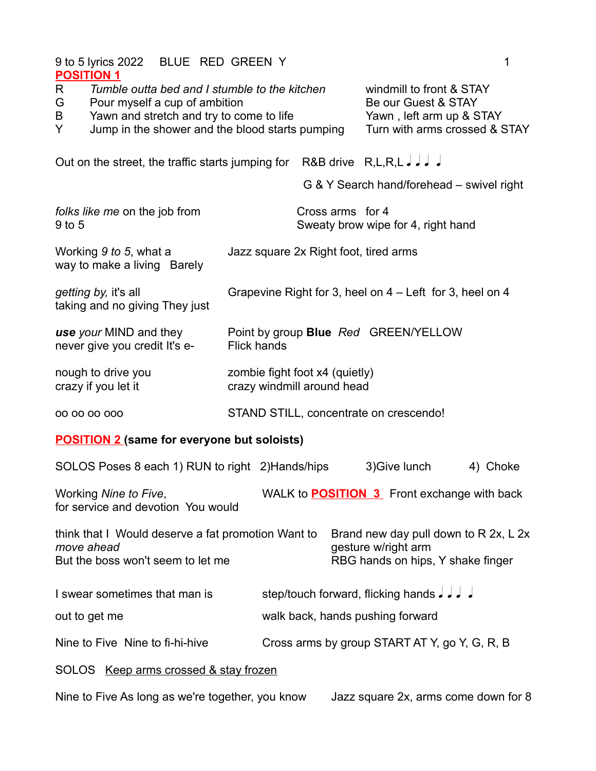| 9 to 5 lyrics 2022 BLUE RED GREEN Y<br><b>POSITION 1</b>                                                                                                                                          |                                                              | 1                                                                                                            |  |  |
|---------------------------------------------------------------------------------------------------------------------------------------------------------------------------------------------------|--------------------------------------------------------------|--------------------------------------------------------------------------------------------------------------|--|--|
| Tumble outta bed and I stumble to the kitchen<br>R<br>G<br>Pour myself a cup of ambition<br>Yawn and stretch and try to come to life<br>B<br>Y<br>Jump in the shower and the blood starts pumping |                                                              | windmill to front & STAY<br>Be our Guest & STAY<br>Yawn, left arm up & STAY<br>Turn with arms crossed & STAY |  |  |
| Out on the street, the traffic starts jumping for R&B drive R,L,R,L J J J                                                                                                                         |                                                              |                                                                                                              |  |  |
|                                                                                                                                                                                                   |                                                              | G & Y Search hand/forehead – swivel right                                                                    |  |  |
| folks like me on the job from<br>9 to 5                                                                                                                                                           | Cross arms for 4                                             | Sweaty brow wipe for 4, right hand                                                                           |  |  |
| Working 9 to 5, what a<br>way to make a living Barely                                                                                                                                             | Jazz square 2x Right foot, tired arms                        |                                                                                                              |  |  |
| getting by, it's all<br>taking and no giving They just                                                                                                                                            |                                                              | Grapevine Right for 3, heel on $4 -$ Left for 3, heel on 4                                                   |  |  |
| use your MIND and they<br>never give you credit It's e-<br><b>Flick hands</b>                                                                                                                     |                                                              | Point by group Blue Red GREEN/YELLOW                                                                         |  |  |
| nough to drive you<br>crazy if you let it                                                                                                                                                         | zombie fight foot x4 (quietly)<br>crazy windmill around head |                                                                                                              |  |  |
| 00 00 00 000                                                                                                                                                                                      | STAND STILL, concentrate on crescendo!                       |                                                                                                              |  |  |
| <b>POSITION 2 (same for everyone but soloists)</b>                                                                                                                                                |                                                              |                                                                                                              |  |  |
| SOLOS Poses 8 each 1) RUN to right 2) Hands/hips                                                                                                                                                  |                                                              | 3) Give lunch<br>4) Choke                                                                                    |  |  |
| Working Nine to Five,<br>for service and devotion You would                                                                                                                                       |                                                              | WALK to <b>POSITION 3</b> Front exchange with back                                                           |  |  |
| think that I Would deserve a fat promotion Want to<br>move ahead<br>But the boss won't seem to let me                                                                                             |                                                              | Brand new day pull down to R 2x, L 2x<br>gesture w/right arm<br>RBG hands on hips, Y shake finger            |  |  |
| I swear sometimes that man is                                                                                                                                                                     |                                                              | step/touch forward, flicking hands $J$ , $J$                                                                 |  |  |
| out to get me                                                                                                                                                                                     | walk back, hands pushing forward                             |                                                                                                              |  |  |
| Nine to Five Nine to fi-hi-hive                                                                                                                                                                   |                                                              | Cross arms by group START AT Y, go Y, G, R, B                                                                |  |  |
| SOLOS Keep arms crossed & stay frozen                                                                                                                                                             |                                                              |                                                                                                              |  |  |
| Nine to Five As long as we're together, you know<br>Jazz square 2x, arms come down for 8                                                                                                          |                                                              |                                                                                                              |  |  |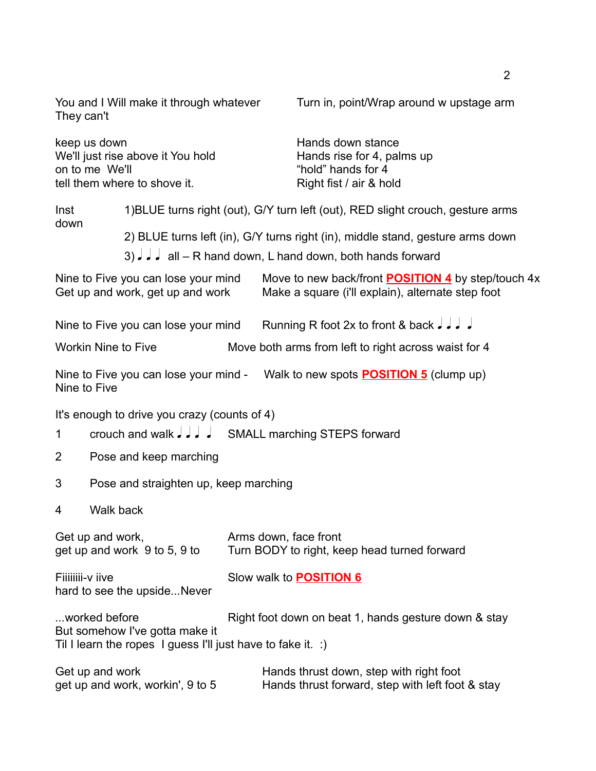You and I Will make it through whatever Turn in, point/Wrap around w upstage arm They can't

| keep us down<br>on to me We'll | We'll just rise above it You hold<br>tell them where to shove it.                                  | Hands down stance<br>Hands rise for 4, palms up<br>"hold" hands for 4<br>Right fist / air & hold                                                |
|--------------------------------|----------------------------------------------------------------------------------------------------|-------------------------------------------------------------------------------------------------------------------------------------------------|
| Inst<br>down                   |                                                                                                    | 1) BLUE turns right (out), G/Y turn left (out), RED slight crouch, gesture arms                                                                 |
|                                |                                                                                                    | 2) BLUE turns left (in), G/Y turns right (in), middle stand, gesture arms down<br>3) $J$ $J$ all – R hand down, L hand down, both hands forward |
|                                | Nine to Five you can lose your mind<br>Get up and work, get up and work                            | Move to new back/front <b>POSITION 4</b> by step/touch 4x<br>Make a square (i'll explain), alternate step foot                                  |
|                                | Nine to Five you can lose your mind                                                                | Running R foot 2x to front & back $J$ , $J$                                                                                                     |
|                                | <b>Workin Nine to Five</b>                                                                         | Move both arms from left to right across waist for 4                                                                                            |
| Nine to Five                   |                                                                                                    | Nine to Five you can lose your mind - Walk to new spots <b>POSITION 5</b> (clump up)                                                            |
| 1                              | It's enough to drive you crazy (counts of 4)<br>crouch and walk J J J SMALL marching STEPS forward |                                                                                                                                                 |
| $\overline{2}$                 | Pose and keep marching                                                                             |                                                                                                                                                 |

- 3 Pose and straighten up, keep marching
- 4 Walk back

| Get up and work,                                | Arms down, face front                                       |  |  |
|-------------------------------------------------|-------------------------------------------------------------|--|--|
| get up and work 9 to 5, 9 to                    | Turn BODY to right, keep head turned forward                |  |  |
| Fiiiiiiii-v iive<br>hard to see the upsideNever | Slow walk to <b>POSITION 6</b>                              |  |  |
| worked before                                   | Right foot down on beat 1, hands gesture down & stay        |  |  |
| But somehow I've gotta make it                  | Til I learn the ropes I guess I'll just have to fake it. :) |  |  |
| المتحدد المحاجب المستنقذ الكاري                 | اللمام للماساس والمترب ويملون المستحفظ والمسحال والمسمال    |  |  |

| Get up and work                  | Hands thrust down, step with right foot          |
|----------------------------------|--------------------------------------------------|
| get up and work, workin', 9 to 5 | Hands thrust forward, step with left foot & stay |